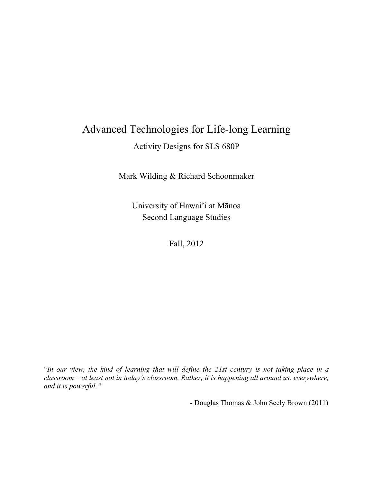# Advanced Technologies for Life-long Learning

Activity Designs for SLS 680P

Mark Wilding & Richard Schoonmaker

University of Hawai'i at Mānoa Second Language Studies

Fall, 2012

"*In our view, the kind of learning that will define the 21st century is not taking place in a classroom – at least not in today's classroom. Rather, it is happening all around us, everywhere, and it is powerful."*

- Douglas Thomas & John Seely Brown (2011)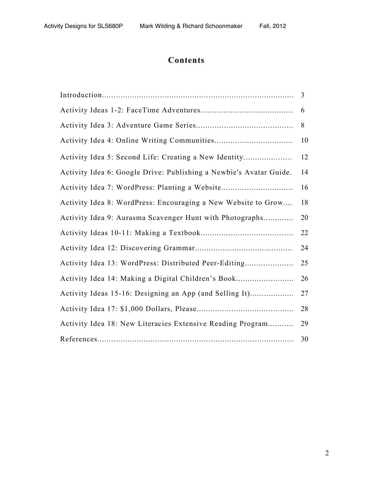# **Contents**

|                                                                    | 3  |
|--------------------------------------------------------------------|----|
|                                                                    | 6  |
|                                                                    | 8  |
|                                                                    | 10 |
| Activity Idea 5: Second Life: Creating a New Identity              | 12 |
| Activity Idea 6: Google Drive: Publishing a Newbie's Avatar Guide. | 14 |
| Activity Idea 7: WordPress: Planting a Website                     | 16 |
| Activity Idea 8: WordPress: Encouraging a New Website to Grow      | 18 |
| Activity Idea 9: Aurasma Scavenger Hunt with Photographs           | 20 |
|                                                                    | 22 |
|                                                                    | 24 |
| Activity Idea 13: WordPress: Distributed Peer-Editing              | 25 |
| Activity Idea 14: Making a Digital Children's Book                 | 26 |
| Activity Ideas 15-16: Designing an App (and Selling It)            | 27 |
|                                                                    | 28 |
| Activity Idea 18: New Literacies Extensive Reading Program         | 29 |
|                                                                    | 30 |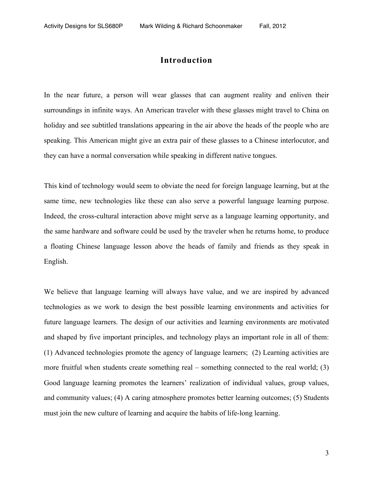### **Introduction**

In the near future, a person will wear glasses that can augment reality and enliven their surroundings in infinite ways. An American traveler with these glasses might travel to China on holiday and see subtitled translations appearing in the air above the heads of the people who are speaking. This American might give an extra pair of these glasses to a Chinese interlocutor, and they can have a normal conversation while speaking in different native tongues.

This kind of technology would seem to obviate the need for foreign language learning, but at the same time, new technologies like these can also serve a powerful language learning purpose. Indeed, the cross-cultural interaction above might serve as a language learning opportunity, and the same hardware and software could be used by the traveler when he returns home, to produce a floating Chinese language lesson above the heads of family and friends as they speak in English.

We believe that language learning will always have value, and we are inspired by advanced technologies as we work to design the best possible learning environments and activities for future language learners. The design of our activities and learning environments are motivated and shaped by five important principles, and technology plays an important role in all of them: (1) Advanced technologies promote the agency of language learners; (2) Learning activities are more fruitful when students create something real – something connected to the real world; (3) Good language learning promotes the learners' realization of individual values, group values, and community values; (4) A caring atmosphere promotes better learning outcomes; (5) Students must join the new culture of learning and acquire the habits of life-long learning.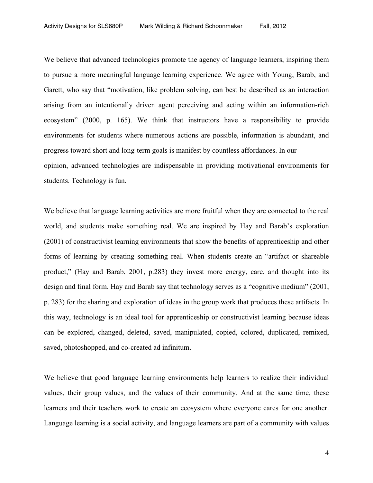We believe that advanced technologies promote the agency of language learners, inspiring them to pursue a more meaningful language learning experience. We agree with Young, Barab, and Garett, who say that "motivation, like problem solving, can best be described as an interaction arising from an intentionally driven agent perceiving and acting within an information-rich ecosystem" (2000, p. 165). We think that instructors have a responsibility to provide environments for students where numerous actions are possible, information is abundant, and progress toward short and long-term goals is manifest by countless affordances. In our opinion, advanced technologies are indispensable in providing motivational environments for students. Technology is fun.

We believe that language learning activities are more fruitful when they are connected to the real world, and students make something real. We are inspired by Hay and Barab's exploration (2001) of constructivist learning environments that show the benefits of apprenticeship and other forms of learning by creating something real. When students create an "artifact or shareable product," (Hay and Barab, 2001, p.283) they invest more energy, care, and thought into its design and final form. Hay and Barab say that technology serves as a "cognitive medium" (2001, p. 283) for the sharing and exploration of ideas in the group work that produces these artifacts. In this way, technology is an ideal tool for apprenticeship or constructivist learning because ideas can be explored, changed, deleted, saved, manipulated, copied, colored, duplicated, remixed, saved, photoshopped, and co-created ad infinitum.

We believe that good language learning environments help learners to realize their individual values, their group values, and the values of their community. And at the same time, these learners and their teachers work to create an ecosystem where everyone cares for one another. Language learning is a social activity, and language learners are part of a community with values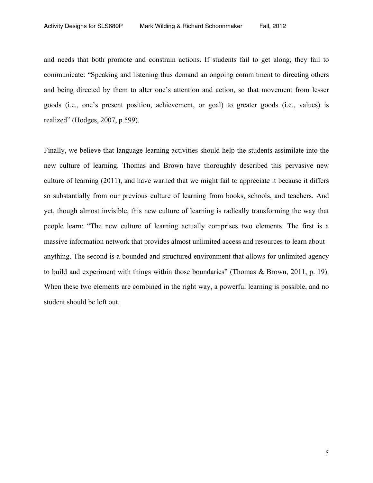and needs that both promote and constrain actions. If students fail to get along, they fail to communicate: "Speaking and listening thus demand an ongoing commitment to directing others and being directed by them to alter one's attention and action, so that movement from lesser goods (i.e., one's present position, achievement, or goal) to greater goods (i.e., values) is realized" (Hodges, 2007, p.599).

Finally, we believe that language learning activities should help the students assimilate into the new culture of learning. Thomas and Brown have thoroughly described this pervasive new culture of learning (2011), and have warned that we might fail to appreciate it because it differs so substantially from our previous culture of learning from books, schools, and teachers. And yet, though almost invisible, this new culture of learning is radically transforming the way that people learn: "The new culture of learning actually comprises two elements. The first is a massive information network that provides almost unlimited access and resources to learn about anything. The second is a bounded and structured environment that allows for unlimited agency to build and experiment with things within those boundaries" (Thomas & Brown, 2011, p. 19). When these two elements are combined in the right way, a powerful learning is possible, and no student should be left out.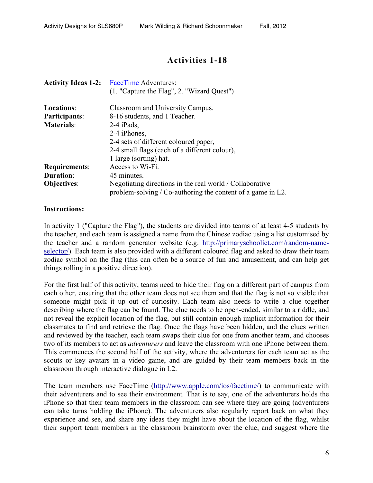# **Activities 1-18**

| <b>Activity Ideas 1-2:</b> | FaceTime Adventures:                                                                                                    |
|----------------------------|-------------------------------------------------------------------------------------------------------------------------|
|                            | (1. "Capture the Flag", 2. "Wizard Quest")                                                                              |
| Locations:                 | Classroom and University Campus.                                                                                        |
| <b>Participants:</b>       | 8-16 students, and 1 Teacher.                                                                                           |
| <b>Materials:</b>          | $2-4$ iPads,                                                                                                            |
|                            | 2-4 iPhones,                                                                                                            |
|                            | 2-4 sets of different coloured paper,                                                                                   |
|                            | 2-4 small flags (each of a different colour),                                                                           |
|                            | 1 large (sorting) hat.                                                                                                  |
| <b>Requirements:</b>       | Access to Wi-Fi.                                                                                                        |
| <b>Duration:</b>           | 45 minutes.                                                                                                             |
| <b>Objectives:</b>         | Negotiating directions in the real world / Collaborative<br>problem-solving / Co-authoring the content of a game in L2. |

#### **Instructions:**

In activity 1 ("Capture the Flag"), the students are divided into teams of at least 4-5 students by the teacher, and each team is assigned a name from the Chinese zodiac using a list customised by the teacher and a random generator website (e.g. http://primaryschoolict.com/random-nameselector/). Each team is also provided with a different coloured flag and asked to draw their team zodiac symbol on the flag (this can often be a source of fun and amusement, and can help get things rolling in a positive direction).

For the first half of this activity, teams need to hide their flag on a different part of campus from each other, ensuring that the other team does not see them and that the flag is not so visible that someone might pick it up out of curiosity. Each team also needs to write a clue together describing where the flag can be found. The clue needs to be open-ended, similar to a riddle, and not reveal the explicit location of the flag, but still contain enough implicit information for their classmates to find and retrieve the flag. Once the flags have been hidden, and the clues written and reviewed by the teacher, each team swaps their clue for one from another team, and chooses two of its members to act as *adventurers* and leave the classroom with one iPhone between them. This commences the second half of the activity, where the adventurers for each team act as the scouts or key avatars in a video game, and are guided by their team members back in the classroom through interactive dialogue in L2.

The team members use FaceTime (http://www.apple.com/ios/facetime/) to communicate with their adventurers and to see their environment*.* That is to say, one of the adventurers holds the iPhone so that their team members in the classroom can see where they are going (adventurers can take turns holding the iPhone). The adventurers also regularly report back on what they experience and see, and share any ideas they might have about the location of the flag, whilst their support team members in the classroom brainstorm over the clue, and suggest where the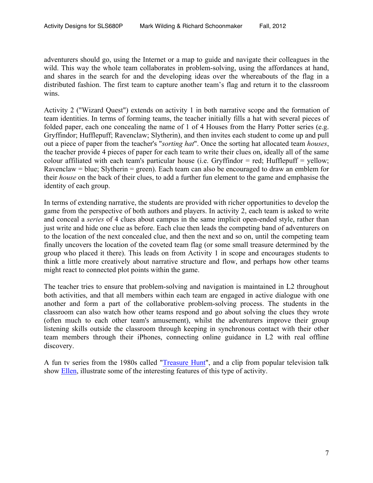adventurers should go, using the Internet or a map to guide and navigate their colleagues in the wild. This way the whole team collaborates in problem-solving, using the affordances at hand, and shares in the search for and the developing ideas over the whereabouts of the flag in a distributed fashion. The first team to capture another team's flag and return it to the classroom wins.

Activity 2 ("Wizard Quest") extends on activity 1 in both narrative scope and the formation of team identities. In terms of forming teams, the teacher initially fills a hat with several pieces of folded paper, each one concealing the name of 1 of 4 Houses from the Harry Potter series (e.g. Gryffindor; Hufflepuff; Ravenclaw; Slytherin), and then invites each student to come up and pull out a piece of paper from the teacher's "*sorting hat*". Once the sorting hat allocated team *houses*, the teacher provide 4 pieces of paper for each team to write their clues on, ideally all of the same colour affiliated with each team's particular house (i.e. Gryffindor = red; Hufflepuff = yellow; Ravenclaw = blue; Slytherin = green). Each team can also be encouraged to draw an emblem for their *house* on the back of their clues, to add a further fun element to the game and emphasise the identity of each group.

In terms of extending narrative, the students are provided with richer opportunities to develop the game from the perspective of both authors and players. In activity 2, each team is asked to write and conceal a *series* of 4 clues about campus in the same implicit open-ended style, rather than just write and hide one clue as before. Each clue then leads the competing band of adventurers on to the location of the next concealed clue, and then the next and so on, until the competing team finally uncovers the location of the coveted team flag (or some small treasure determined by the group who placed it there). This leads on from Activity 1 in scope and encourages students to think a little more creatively about narrative structure and flow, and perhaps how other teams might react to connected plot points within the game.

The teacher tries to ensure that problem-solving and navigation is maintained in L2 throughout both activities, and that all members within each team are engaged in active dialogue with one another and form a part of the collaborative problem-solving process. The students in the classroom can also watch how other teams respond and go about solving the clues they wrote (often much to each other team's amusement), whilst the adventurers improve their group listening skills outside the classroom through keeping in synchronous contact with their other team members through their iPhones, connecting online guidance in L2 with real offline discovery.

A fun tv series from the 1980s called "Treasure Hunt", and a clip from popular television talk show Ellen, illustrate some of the interesting features of this type of activity.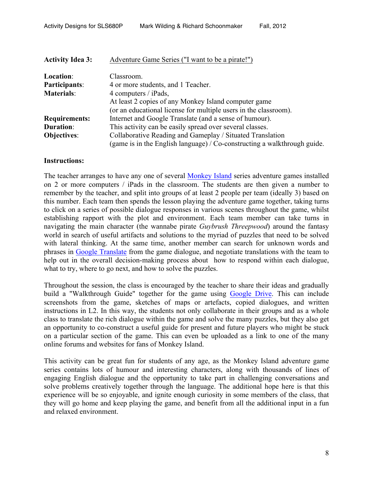| <b>Activity Idea 3:</b> | Adventure Game Series ("I want to be a pirate!")                            |
|-------------------------|-----------------------------------------------------------------------------|
| Location:               | Classroom.                                                                  |
| Participants:           | 4 or more students, and 1 Teacher.                                          |
| <b>Materials:</b>       | 4 computers / iPads,                                                        |
|                         | At least 2 copies of any Monkey Island computer game                        |
|                         | (or an educational license for multiple users in the classroom).            |
| <b>Requirements:</b>    | Internet and Google Translate (and a sense of humour).                      |
| <b>Duration:</b>        | This activity can be easily spread over several classes.                    |
| <b>Objectives:</b>      | Collaborative Reading and Gameplay / Situated Translation                   |
|                         | (game is in the English language) / $Co$ -constructing a walkthrough guide. |

The teacher arranges to have any one of several Monkey Island series adventure games installed on 2 or more computers / iPads in the classroom. The students are then given a number to remember by the teacher, and split into groups of at least 2 people per team (ideally 3) based on this number. Each team then spends the lesson playing the adventure game together, taking turns to click on a series of possible dialogue responses in various scenes throughout the game, whilst establishing rapport with the plot and environment. Each team member can take turns in navigating the main character (the wannabe pirate *Guybrush Threepwood*) around the fantasy world in search of useful artifacts and solutions to the myriad of puzzles that need to be solved with lateral thinking. At the same time, another member can search for unknown words and phrases in Google Translate from the game dialogue, and negotiate translations with the team to help out in the overall decision-making process about how to respond within each dialogue, what to try, where to go next, and how to solve the puzzles.

Throughout the session, the class is encouraged by the teacher to share their ideas and gradually build a "Walkthrough Guide" together for the game using Google Drive. This can include screenshots from the game, sketches of maps or artefacts, copied dialogues, and written instructions in L2. In this way, the students not only collaborate in their groups and as a whole class to translate the rich dialogue within the game and solve the many puzzles, but they also get an opportunity to co-construct a useful guide for present and future players who might be stuck on a particular section of the game. This can even be uploaded as a link to one of the many online forums and websites for fans of Monkey Island.

This activity can be great fun for students of any age, as the Monkey Island adventure game series contains lots of humour and interesting characters, along with thousands of lines of engaging English dialogue and the opportunity to take part in challenging conversations and solve problems creatively together through the language. The additional hope here is that this experience will be so enjoyable, and ignite enough curiosity in some members of the class, that they will go home and keep playing the game, and benefit from all the additional input in a fun and relaxed environment.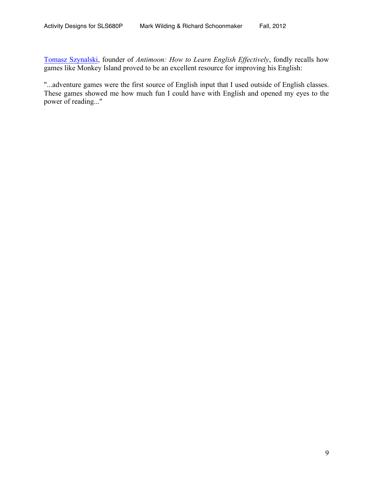Tomasz Szynalski, founder of *Antimoon: How to Learn English Effectively*, fondly recalls how games like Monkey Island proved to be an excellent resource for improving his English:

"...adventure games were the first source of English input that I used outside of English classes. These games showed me how much fun I could have with English and opened my eyes to the power of reading..."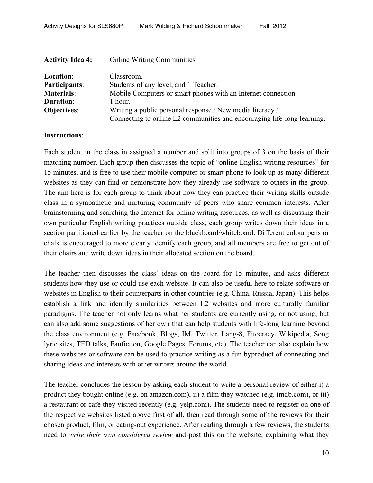| <b>Activity Idea 4:</b> | <b>Online Writing Communities</b>                                       |
|-------------------------|-------------------------------------------------------------------------|
| Location:               | Classroom.                                                              |
| Participants:           | Students of any level, and 1 Teacher.                                   |
| <b>Materials:</b>       | Mobile Computers or smart phones with an Internet connection.           |
| <b>Duration:</b>        | 1 hour.                                                                 |
| <b>Objectives:</b>      | Writing a public personal response / New media literacy /               |
|                         | Connecting to online L2 communities and encouraging life-long learning. |

Each student in the class in assigned a number and split into groups of 3 on the basis of their matching number. Each group then discusses the topic of "online English writing resources" for 15 minutes, and is free to use their mobile computer or smart phone to look up as many different websites as they can find or demonstrate how they already use software to others in the group. The aim here is for each group to think about how they can practice their writing skills outside class in a sympathetic and nurturing community of peers who share common interests. After brainstorming and searching the Internet for online writing resources, as well as discussing their own particular English writing practices outside class, each group writes down their ideas in a section partitioned earlier by the teacher on the blackboard/whiteboard. Different colour pens or chalk is encouraged to more clearly identify each group, and all members are free to get out of their chairs and write down ideas in their allocated section on the board.

The teacher then discusses the class' ideas on the board for 15 minutes, and asks different students how they use or could use each website. It can also be useful here to relate software or websites in English to their counterparts in other countries (e.g. China, Russia, Japan). This helps establish a link and identify similarities between L2 websites and more culturally familiar paradigms. The teacher not only learns what her students are currently using, or not using, but can also add some suggestions of her own that can help students with life-long learning beyond the class environment (e.g. Facebook, Blogs, IM, Twitter, Lang-8, Fitocracy, Wikipedia, Song lyric sites, TED talks, Fanfiction, Google Pages, Forums, etc). The teacher can also explain how these websites or software can be used to practice writing as a fun byproduct of connecting and sharing ideas and interests with other writers around the world.

The teacher concludes the lesson by asking each student to write a personal review of either i) a product they bought online (e.g. on amazon.com), ii) a film they watched (e.g. imdb.com), or iii) a restaurant or café they visited recently (e.g. yelp.com). The students need to register on one of the respective websites listed above first of all, then read through some of the reviews for their chosen product, film, or eating-out experience. After reading through a few reviews, the students need to *write their own considered review* and post this on the website, explaining what they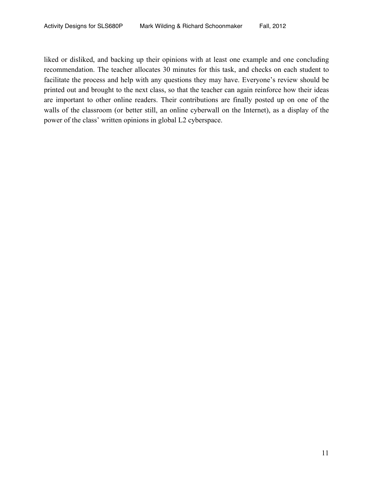liked or disliked, and backing up their opinions with at least one example and one concluding recommendation. The teacher allocates 30 minutes for this task, and checks on each student to facilitate the process and help with any questions they may have. Everyone's review should be printed out and brought to the next class, so that the teacher can again reinforce how their ideas are important to other online readers. Their contributions are finally posted up on one of the walls of the classroom (or better still, an online cyberwall on the Internet), as a display of the power of the class' written opinions in global L2 cyberspace.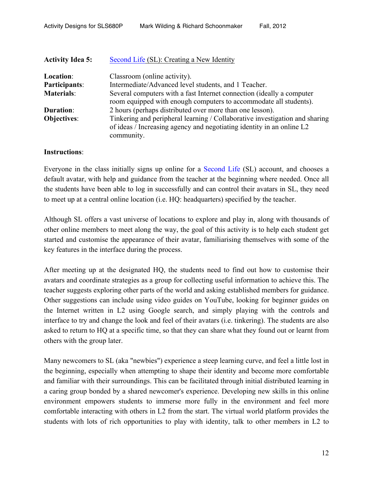| <b>Activity Idea 5:</b> | Second Life (SL): Creating a New Identity                                                                                                                          |
|-------------------------|--------------------------------------------------------------------------------------------------------------------------------------------------------------------|
| Location:               | Classroom (online activity).                                                                                                                                       |
| Participants:           | Intermediate/Advanced level students, and 1 Teacher.                                                                                                               |
| <b>Materials:</b>       | Several computers with a fast Internet connection (ideally a computer<br>room equipped with enough computers to accommodate all students).                         |
| <b>Duration:</b>        | 2 hours (perhaps distributed over more than one lesson).                                                                                                           |
| <b>Objectives:</b>      | Tinkering and peripheral learning / Collaborative investigation and sharing<br>of ideas / Increasing agency and negotiating identity in an online L2<br>community. |

Everyone in the class initially signs up online for a Second Life (SL) account, and chooses a default avatar, with help and guidance from the teacher at the beginning where needed. Once all the students have been able to log in successfully and can control their avatars in SL, they need to meet up at a central online location (i.e. HQ: headquarters) specified by the teacher.

Although SL offers a vast universe of locations to explore and play in, along with thousands of other online members to meet along the way, the goal of this activity is to help each student get started and customise the appearance of their avatar, familiarising themselves with some of the key features in the interface during the process.

After meeting up at the designated HQ, the students need to find out how to customise their avatars and coordinate strategies as a group for collecting useful information to achieve this. The teacher suggests exploring other parts of the world and asking established members for guidance. Other suggestions can include using video guides on YouTube, looking for beginner guides on the Internet written in L2 using Google search, and simply playing with the controls and interface to try and change the look and feel of their avatars (i.e. tinkering). The students are also asked to return to HQ at a specific time, so that they can share what they found out or learnt from others with the group later.

Many newcomers to SL (aka "newbies") experience a steep learning curve, and feel a little lost in the beginning, especially when attempting to shape their identity and become more comfortable and familiar with their surroundings. This can be facilitated through initial distributed learning in a caring group bonded by a shared newcomer's experience. Developing new skills in this online environment empowers students to immerse more fully in the environment and feel more comfortable interacting with others in L2 from the start. The virtual world platform provides the students with lots of rich opportunities to play with identity, talk to other members in L2 to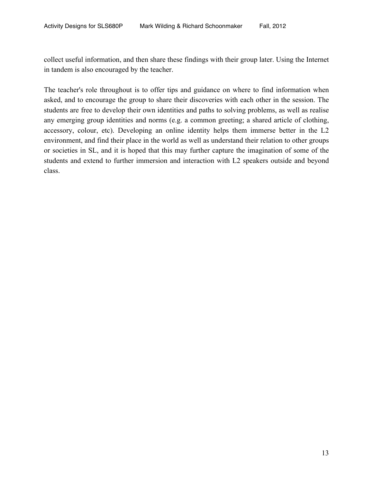collect useful information, and then share these findings with their group later. Using the Internet in tandem is also encouraged by the teacher.

The teacher's role throughout is to offer tips and guidance on where to find information when asked, and to encourage the group to share their discoveries with each other in the session. The students are free to develop their own identities and paths to solving problems, as well as realise any emerging group identities and norms (e.g. a common greeting; a shared article of clothing, accessory, colour, etc). Developing an online identity helps them immerse better in the L2 environment, and find their place in the world as well as understand their relation to other groups or societies in SL, and it is hoped that this may further capture the imagination of some of the students and extend to further immersion and interaction with L2 speakers outside and beyond class.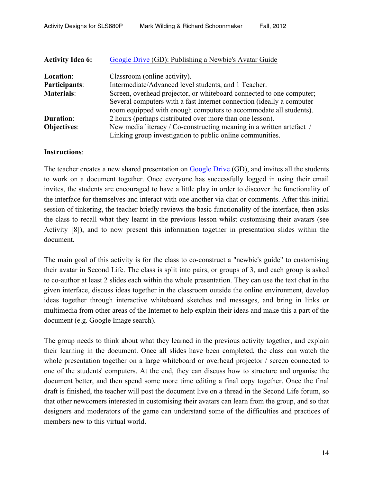| <b>Activity Idea 6:</b> | Google Drive (GD): Publishing a Newbie's Avatar Guide                                                                                      |
|-------------------------|--------------------------------------------------------------------------------------------------------------------------------------------|
| Location:               | Classroom (online activity).                                                                                                               |
| Participants:           | Intermediate/Advanced level students, and 1 Teacher.                                                                                       |
| <b>Materials:</b>       | Screen, overhead projector, or whiteboard connected to one computer;                                                                       |
|                         | Several computers with a fast Internet connection (ideally a computer<br>room equipped with enough computers to accommodate all students). |
| <b>Duration:</b>        | 2 hours (perhaps distributed over more than one lesson).                                                                                   |
| <b>Objectives:</b>      | New media literacy / Co-constructing meaning in a written artefact /                                                                       |
|                         | Linking group investigation to public online communities.                                                                                  |

The teacher creates a new shared presentation on Google Drive (GD), and invites all the students to work on a document together. Once everyone has successfully logged in using their email invites, the students are encouraged to have a little play in order to discover the functionality of the interface for themselves and interact with one another via chat or comments. After this initial session of tinkering, the teacher briefly reviews the basic functionality of the interface, then asks the class to recall what they learnt in the previous lesson whilst customising their avatars (see Activity [8]), and to now present this information together in presentation slides within the document.

The main goal of this activity is for the class to co-construct a "newbie's guide" to customising their avatar in Second Life. The class is split into pairs, or groups of 3, and each group is asked to co-author at least 2 slides each within the whole presentation. They can use the text chat in the given interface, discuss ideas together in the classroom outside the online environment, develop ideas together through interactive whiteboard sketches and messages, and bring in links or multimedia from other areas of the Internet to help explain their ideas and make this a part of the document (e.g. Google Image search).

The group needs to think about what they learned in the previous activity together, and explain their learning in the document. Once all slides have been completed, the class can watch the whole presentation together on a large whiteboard or overhead projector / screen connected to one of the students' computers. At the end, they can discuss how to structure and organise the document better, and then spend some more time editing a final copy together. Once the final draft is finished, the teacher will post the document live on a thread in the Second Life forum, so that other newcomers interested in customising their avatars can learn from the group, and so that designers and moderators of the game can understand some of the difficulties and practices of members new to this virtual world.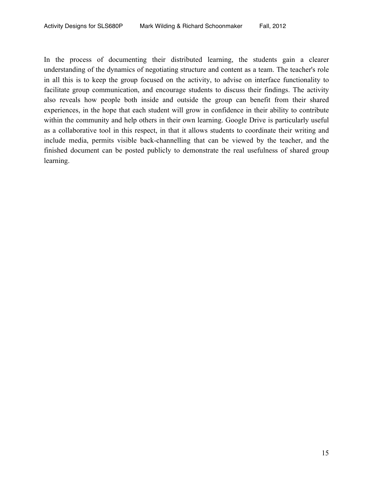In the process of documenting their distributed learning, the students gain a clearer understanding of the dynamics of negotiating structure and content as a team. The teacher's role in all this is to keep the group focused on the activity, to advise on interface functionality to facilitate group communication, and encourage students to discuss their findings. The activity also reveals how people both inside and outside the group can benefit from their shared experiences, in the hope that each student will grow in confidence in their ability to contribute within the community and help others in their own learning. Google Drive is particularly useful as a collaborative tool in this respect, in that it allows students to coordinate their writing and include media, permits visible back-channelling that can be viewed by the teacher, and the finished document can be posted publicly to demonstrate the real usefulness of shared group learning.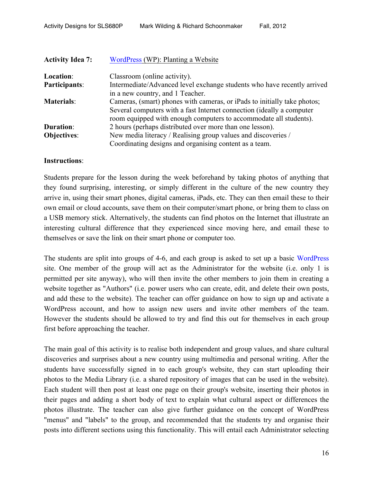| <b>Activity Idea 7:</b> | WordPress (WP): Planting a Website                                       |
|-------------------------|--------------------------------------------------------------------------|
| Location:               | Classroom (online activity).                                             |
| Participants:           | Intermediate/Advanced level exchange students who have recently arrived  |
|                         | in a new country, and 1 Teacher.                                         |
| <b>Materials:</b>       | Cameras, (smart) phones with cameras, or iPads to initially take photos; |
|                         | Several computers with a fast Internet connection (ideally a computer    |
|                         | room equipped with enough computers to accommodate all students).        |
| <b>Duration:</b>        | 2 hours (perhaps distributed over more than one lesson).                 |
| <b>Objectives:</b>      | New media literacy / Realising group values and discoveries /            |
|                         | Coordinating designs and organising content as a team.                   |

Students prepare for the lesson during the week beforehand by taking photos of anything that they found surprising, interesting, or simply different in the culture of the new country they arrive in, using their smart phones, digital cameras, iPads, etc. They can then email these to their own email or cloud accounts, save them on their computer/smart phone, or bring them to class on a USB memory stick. Alternatively, the students can find photos on the Internet that illustrate an interesting cultural difference that they experienced since moving here, and email these to themselves or save the link on their smart phone or computer too.

The students are split into groups of 4-6, and each group is asked to set up a basic WordPress site. One member of the group will act as the Administrator for the website (i.e. only 1 is permitted per site anyway), who will then invite the other members to join them in creating a website together as "Authors" (i.e. power users who can create, edit, and delete their own posts, and add these to the website). The teacher can offer guidance on how to sign up and activate a WordPress account, and how to assign new users and invite other members of the team. However the students should be allowed to try and find this out for themselves in each group first before approaching the teacher.

The main goal of this activity is to realise both independent and group values, and share cultural discoveries and surprises about a new country using multimedia and personal writing. After the students have successfully signed in to each group's website, they can start uploading their photos to the Media Library (i.e. a shared repository of images that can be used in the website). Each student will then post at least one page on their group's website, inserting their photos in their pages and adding a short body of text to explain what cultural aspect or differences the photos illustrate. The teacher can also give further guidance on the concept of WordPress "menus" and "labels" to the group, and recommended that the students try and organise their posts into different sections using this functionality. This will entail each Administrator selecting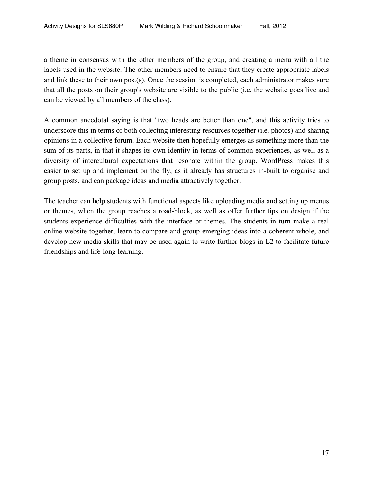a theme in consensus with the other members of the group, and creating a menu with all the labels used in the website. The other members need to ensure that they create appropriate labels and link these to their own post(s). Once the session is completed, each administrator makes sure that all the posts on their group's website are visible to the public (i.e. the website goes live and can be viewed by all members of the class).

A common anecdotal saying is that "two heads are better than one", and this activity tries to underscore this in terms of both collecting interesting resources together (i.e. photos) and sharing opinions in a collective forum. Each website then hopefully emerges as something more than the sum of its parts, in that it shapes its own identity in terms of common experiences, as well as a diversity of intercultural expectations that resonate within the group. WordPress makes this easier to set up and implement on the fly, as it already has structures in-built to organise and group posts, and can package ideas and media attractively together.

The teacher can help students with functional aspects like uploading media and setting up menus or themes, when the group reaches a road-block, as well as offer further tips on design if the students experience difficulties with the interface or themes. The students in turn make a real online website together, learn to compare and group emerging ideas into a coherent whole, and develop new media skills that may be used again to write further blogs in L2 to facilitate future friendships and life-long learning.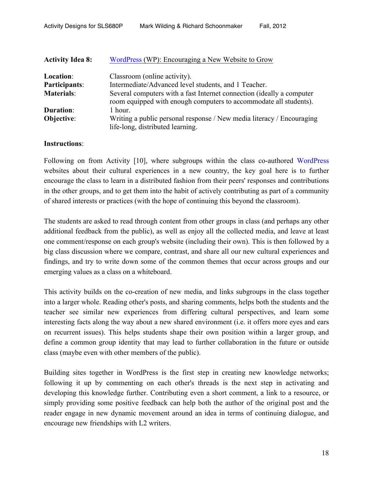| <b>Activity Idea 8:</b> | WordPress (WP): Encouraging a New Website to Grow                                                                                          |
|-------------------------|--------------------------------------------------------------------------------------------------------------------------------------------|
| Location:               | Classroom (online activity).                                                                                                               |
| Participants:           | Intermediate/Advanced level students, and 1 Teacher.                                                                                       |
| <b>Materials:</b>       | Several computers with a fast Internet connection (ideally a computer<br>room equipped with enough computers to accommodate all students). |
| <b>Duration:</b>        | 1 hour.                                                                                                                                    |
| Objective:              | Writing a public personal response / New media literacy / Encouraging<br>life-long, distributed learning.                                  |

Following on from Activity [10], where subgroups within the class co-authored WordPress websites about their cultural experiences in a new country, the key goal here is to further encourage the class to learn in a distributed fashion from their peers' responses and contributions in the other groups, and to get them into the habit of actively contributing as part of a community of shared interests or practices (with the hope of continuing this beyond the classroom).

The students are asked to read through content from other groups in class (and perhaps any other additional feedback from the public), as well as enjoy all the collected media, and leave at least one comment/response on each group's website (including their own). This is then followed by a big class discussion where we compare, contrast, and share all our new cultural experiences and findings, and try to write down some of the common themes that occur across groups and our emerging values as a class on a whiteboard.

This activity builds on the co-creation of new media, and links subgroups in the class together into a larger whole. Reading other's posts, and sharing comments, helps both the students and the teacher see similar new experiences from differing cultural perspectives, and learn some interesting facts along the way about a new shared environment (i.e. it offers more eyes and ears on recurrent issues). This helps students shape their own position within a larger group, and define a common group identity that may lead to further collaboration in the future or outside class (maybe even with other members of the public).

Building sites together in WordPress is the first step in creating new knowledge networks; following it up by commenting on each other's threads is the next step in activating and developing this knowledge further. Contributing even a short comment, a link to a resource, or simply providing some positive feedback can help both the author of the original post and the reader engage in new dynamic movement around an idea in terms of continuing dialogue, and encourage new friendships with L2 writers.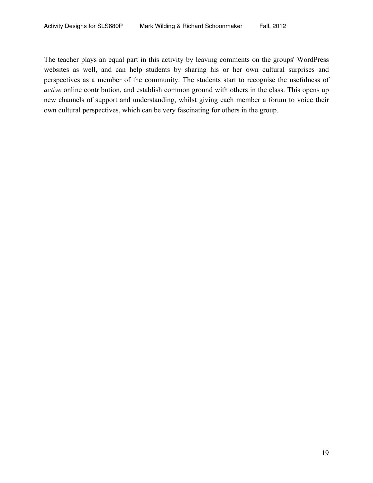The teacher plays an equal part in this activity by leaving comments on the groups' WordPress websites as well, and can help students by sharing his or her own cultural surprises and perspectives as a member of the community. The students start to recognise the usefulness of *active* online contribution, and establish common ground with others in the class. This opens up new channels of support and understanding, whilst giving each member a forum to voice their own cultural perspectives, which can be very fascinating for others in the group.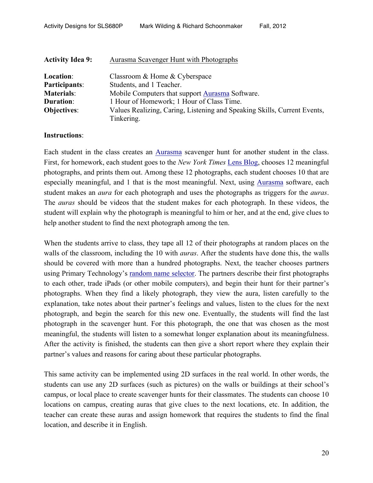| <b>Activity Idea 9:</b> | Aurasma Scavenger Hunt with Photographs                                  |
|-------------------------|--------------------------------------------------------------------------|
| Location:               | Classroom & Home & Cyberspace                                            |
| Participants:           | Students, and 1 Teacher.                                                 |
| <b>Materials:</b>       | Mobile Computers that support Aurasma Software.                          |
| <b>Duration:</b>        | 1 Hour of Homework; 1 Hour of Class Time.                                |
| <b>Objectives:</b>      | Values Realizing, Caring, Listening and Speaking Skills, Current Events, |
|                         | Tinkering.                                                               |

Each student in the class creates an Aurasma scavenger hunt for another student in the class. First, for homework, each student goes to the *New York Times* Lens Blog, chooses 12 meaningful photographs, and prints them out. Among these 12 photographs, each student chooses 10 that are especially meaningful, and 1 that is the most meaningful. Next, using Aurasma software, each student makes an *aura* for each photograph and uses the photographs as triggers for the *auras*. The *auras* should be videos that the student makes for each photograph. In these videos, the student will explain why the photograph is meaningful to him or her, and at the end, give clues to help another student to find the next photograph among the ten.

When the students arrive to class, they tape all 12 of their photographs at random places on the walls of the classroom, including the 10 with *auras*. After the students have done this, the walls should be covered with more than a hundred photographs. Next, the teacher chooses partners using Primary Technology's random name selector. The partners describe their first photographs to each other, trade iPads (or other mobile computers), and begin their hunt for their partner's photographs. When they find a likely photograph, they view the aura, listen carefully to the explanation, take notes about their partner's feelings and values, listen to the clues for the next photograph, and begin the search for this new one. Eventually, the students will find the last photograph in the scavenger hunt. For this photograph, the one that was chosen as the most meaningful, the students will listen to a somewhat longer explanation about its meaningfulness. After the activity is finished, the students can then give a short report where they explain their partner's values and reasons for caring about these particular photographs.

This same activity can be implemented using 2D surfaces in the real world. In other words, the students can use any 2D surfaces (such as pictures) on the walls or buildings at their school's campus, or local place to create scavenger hunts for their classmates. The students can choose 10 locations on campus, creating auras that give clues to the next locations, etc. In addition, the teacher can create these auras and assign homework that requires the students to find the final location, and describe it in English.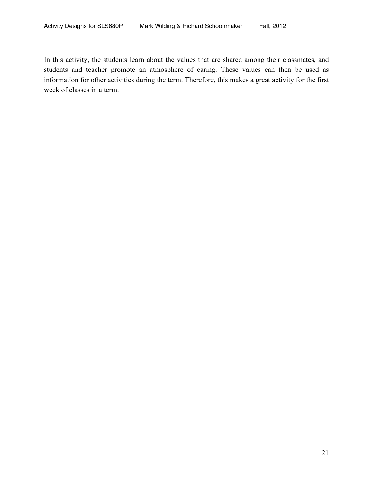In this activity, the students learn about the values that are shared among their classmates, and students and teacher promote an atmosphere of caring. These values can then be used as information for other activities during the term. Therefore, this makes a great activity for the first week of classes in a term.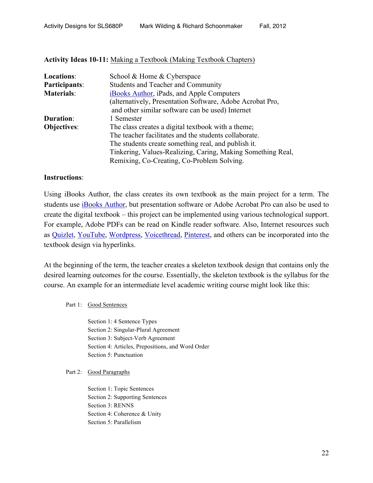#### **Activity Ideas 10-11:** Making a Textbook (Making Textbook Chapters)

| <b>Locations:</b>  | School & Home & Cyberspace                                  |
|--------------------|-------------------------------------------------------------|
| Participants:      | <b>Students and Teacher and Community</b>                   |
| <b>Materials:</b>  | iBooks Author, iPads, and Apple Computers                   |
|                    | (alternatively, Presentation Software, Adobe Acrobat Pro,   |
|                    | and other similar software can be used) Internet            |
| <b>Duration:</b>   | 1 Semester                                                  |
| <b>Objectives:</b> | The class creates a digital textbook with a theme;          |
|                    | The teacher facilitates and the students collaborate.       |
|                    | The students create something real, and publish it.         |
|                    | Tinkering, Values-Realizing, Caring, Making Something Real, |
|                    | Remixing, Co-Creating, Co-Problem Solving.                  |

#### **Instructions**:

Using iBooks Author, the class creates its own textbook as the main project for a term. The students use iBooks Author, but presentation software or Adobe Acrobat Pro can also be used to create the digital textbook – this project can be implemented using various technological support. For example, Adobe PDFs can be read on Kindle reader software. Also, Internet resources such as Quizlet, YouTube, Wordpress, Voicethread, Pinterest, and others can be incorporated into the textbook design via hyperlinks.

At the beginning of the term, the teacher creates a skeleton textbook design that contains only the desired learning outcomes for the course. Essentially, the skeleton textbook is the syllabus for the course. An example for an intermediate level academic writing course might look like this:

Part 1: Good Sentences

Section 1: 4 Sentence Types Section 2: Singular-Plural Agreement Section 3: Subject-Verb Agreement Section 4: Articles, Prepositions, and Word Order Section 5: Punctuation

Part 2: Good Paragraphs

Section 1: Topic Sentences Section 2: Supporting Sentences Section 3: RENNS Section 4: Coherence & Unity Section 5: Parallelism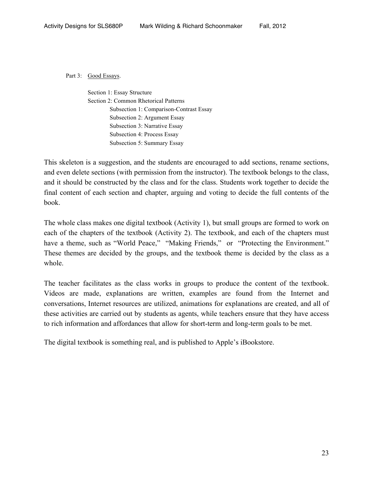Part 3: Good Essays.

Section 1: Essay Structure Section 2: Common Rhetorical Patterns Subsection 1: Comparison-Contrast Essay Subsection 2: Argument Essay Subsection 3: Narrative Essay Subsection 4: Process Essay Subsection 5: Summary Essay

This skeleton is a suggestion, and the students are encouraged to add sections, rename sections, and even delete sections (with permission from the instructor). The textbook belongs to the class, and it should be constructed by the class and for the class. Students work together to decide the final content of each section and chapter, arguing and voting to decide the full contents of the book.

The whole class makes one digital textbook (Activity 1), but small groups are formed to work on each of the chapters of the textbook (Activity 2). The textbook, and each of the chapters must have a theme, such as "World Peace," "Making Friends," or "Protecting the Environment." These themes are decided by the groups, and the textbook theme is decided by the class as a whole.

The teacher facilitates as the class works in groups to produce the content of the textbook. Videos are made, explanations are written, examples are found from the Internet and conversations, Internet resources are utilized, animations for explanations are created, and all of these activities are carried out by students as agents, while teachers ensure that they have access to rich information and affordances that allow for short-term and long-term goals to be met.

The digital textbook is something real, and is published to Apple's iBookstore.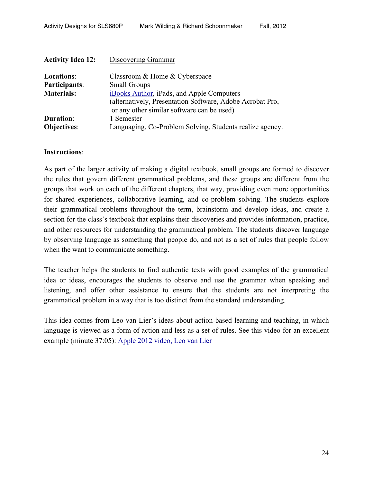| <b>Activity Idea 12:</b> | Discovering Grammar                                                                                     |
|--------------------------|---------------------------------------------------------------------------------------------------------|
| <b>Locations:</b>        | Classroom & Home & Cyberspace                                                                           |
| Participants:            | <b>Small Groups</b>                                                                                     |
| <b>Materials:</b>        | iBooks Author, iPads, and Apple Computers                                                               |
|                          | (alternatively, Presentation Software, Adobe Acrobat Pro,<br>or any other similar software can be used) |
| <b>Duration:</b>         | 1 Semester                                                                                              |
| <b>Objectives:</b>       | Languaging, Co-Problem Solving, Students realize agency.                                                |

As part of the larger activity of making a digital textbook, small groups are formed to discover the rules that govern different grammatical problems, and these groups are different from the groups that work on each of the different chapters, that way, providing even more opportunities for shared experiences, collaborative learning, and co-problem solving. The students explore their grammatical problems throughout the term, brainstorm and develop ideas, and create a section for the class's textbook that explains their discoveries and provides information, practice, and other resources for understanding the grammatical problem. The students discover language by observing language as something that people do, and not as a set of rules that people follow when the want to communicate something.

The teacher helps the students to find authentic texts with good examples of the grammatical idea or ideas, encourages the students to observe and use the grammar when speaking and listening, and offer other assistance to ensure that the students are not interpreting the grammatical problem in a way that is too distinct from the standard understanding.

This idea comes from Leo van Lier's ideas about action-based learning and teaching, in which language is viewed as a form of action and less as a set of rules. See this video for an excellent example (minute 37:05): Apple 2012 video, Leo van Lier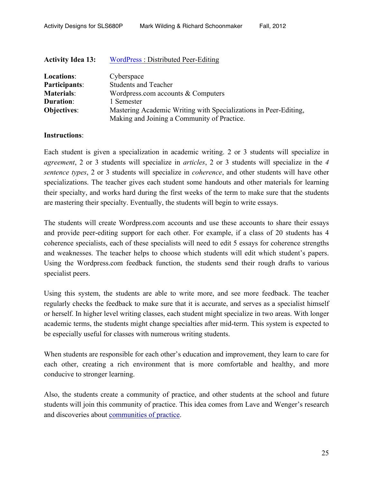| <b>Activity Idea 13:</b> | WordPress: Distributed Peer-Editing                              |
|--------------------------|------------------------------------------------------------------|
| Locations:               | Cyberspace                                                       |
| Participants:            | <b>Students and Teacher</b>                                      |
| <b>Materials:</b>        | Wordpress.com accounts $&$ Computers                             |
| <b>Duration:</b>         | 1 Semester                                                       |
| <b>Objectives:</b>       | Mastering Academic Writing with Specializations in Peer-Editing, |
|                          | Making and Joining a Community of Practice.                      |

Each student is given a specialization in academic writing. 2 or 3 students will specialize in *agreement*, 2 or 3 students will specialize in *articles*, 2 or 3 students will specialize in the *4 sentence types*, 2 or 3 students will specialize in *coherence*, and other students will have other specializations. The teacher gives each student some handouts and other materials for learning their specialty, and works hard during the first weeks of the term to make sure that the students are mastering their specialty. Eventually, the students will begin to write essays.

The students will create Wordpress.com accounts and use these accounts to share their essays and provide peer-editing support for each other. For example, if a class of 20 students has 4 coherence specialists, each of these specialists will need to edit 5 essays for coherence strengths and weaknesses. The teacher helps to choose which students will edit which student's papers. Using the Wordpress.com feedback function, the students send their rough drafts to various specialist peers.

Using this system, the students are able to write more, and see more feedback. The teacher regularly checks the feedback to make sure that it is accurate, and serves as a specialist himself or herself. In higher level writing classes, each student might specialize in two areas. With longer academic terms, the students might change specialties after mid-term. This system is expected to be especially useful for classes with numerous writing students.

When students are responsible for each other's education and improvement, they learn to care for each other, creating a rich environment that is more comfortable and healthy, and more conducive to stronger learning.

Also, the students create a community of practice, and other students at the school and future students will join this community of practice. This idea comes from Lave and Wenger's research and discoveries about communities of practice.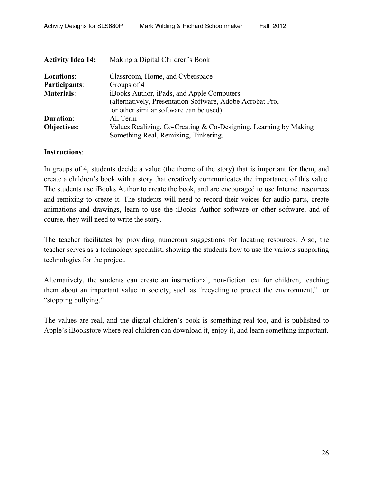| <b>Activity Idea 14:</b> | Making a Digital Children's Book                                 |
|--------------------------|------------------------------------------------------------------|
| <b>Locations:</b>        | Classroom, Home, and Cyberspace                                  |
| Participants:            | Groups of 4                                                      |
| <b>Materials:</b>        | iBooks Author, iPads, and Apple Computers                        |
|                          | (alternatively, Presentation Software, Adobe Acrobat Pro,        |
|                          | or other similar software can be used)                           |
| <b>Duration:</b>         | All Term                                                         |
| <b>Objectives:</b>       | Values Realizing, Co-Creating & Co-Designing, Learning by Making |
|                          | Something Real, Remixing, Tinkering.                             |

In groups of 4, students decide a value (the theme of the story) that is important for them, and create a children's book with a story that creatively communicates the importance of this value. The students use iBooks Author to create the book, and are encouraged to use Internet resources and remixing to create it. The students will need to record their voices for audio parts, create animations and drawings, learn to use the iBooks Author software or other software, and of course, they will need to write the story.

The teacher facilitates by providing numerous suggestions for locating resources. Also, the teacher serves as a technology specialist, showing the students how to use the various supporting technologies for the project.

Alternatively, the students can create an instructional, non-fiction text for children, teaching them about an important value in society, such as "recycling to protect the environment," or "stopping bullying."

The values are real, and the digital children's book is something real too, and is published to Apple's iBookstore where real children can download it, enjoy it, and learn something important.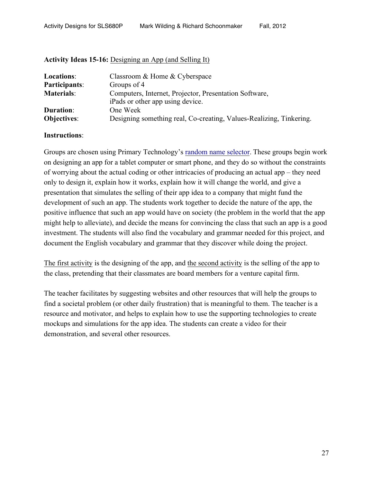| <b>Locations:</b> | Classroom & Home & Cyberspace                                                              |
|-------------------|--------------------------------------------------------------------------------------------|
| Participants:     | Groups of 4                                                                                |
| <b>Materials:</b> | Computers, Internet, Projector, Presentation Software,<br>iPads or other app using device. |
| <b>Duration:</b>  | One Week                                                                                   |
| Objectives:       | Designing something real, Co-creating, Values-Realizing, Tinkering.                        |

### **Activity Ideas 15-16:** Designing an App (and Selling It)

#### **Instructions**:

Groups are chosen using Primary Technology's random name selector. These groups begin work on designing an app for a tablet computer or smart phone, and they do so without the constraints of worrying about the actual coding or other intricacies of producing an actual app – they need only to design it, explain how it works, explain how it will change the world, and give a presentation that simulates the selling of their app idea to a company that might fund the development of such an app. The students work together to decide the nature of the app, the positive influence that such an app would have on society (the problem in the world that the app might help to alleviate), and decide the means for convincing the class that such an app is a good investment. The students will also find the vocabulary and grammar needed for this project, and document the English vocabulary and grammar that they discover while doing the project.

The first activity is the designing of the app, and the second activity is the selling of the app to the class, pretending that their classmates are board members for a venture capital firm.

The teacher facilitates by suggesting websites and other resources that will help the groups to find a societal problem (or other daily frustration) that is meaningful to them. The teacher is a resource and motivator, and helps to explain how to use the supporting technologies to create mockups and simulations for the app idea. The students can create a video for their demonstration, and several other resources.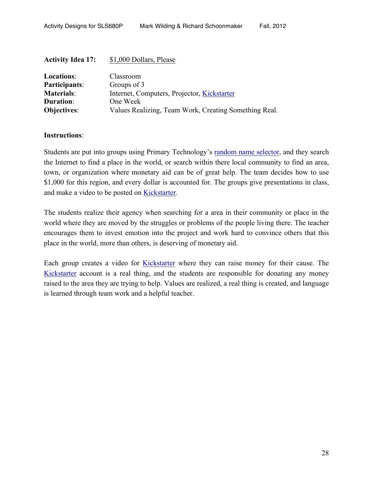| <b>Activity Idea 17:</b> | \$1,000 Dollars, Please                               |
|--------------------------|-------------------------------------------------------|
| <b>Locations:</b>        | Classroom                                             |
| Participants:            | Groups of 3                                           |
| <b>Materials:</b>        | Internet, Computers, Projector, Kickstarter           |
| <b>Duration:</b>         | One Week                                              |
| <b>Objectives:</b>       | Values Realizing, Team Work, Creating Something Real. |

Students are put into groups using Primary Technology's random name selector, and they search the Internet to find a place in the world, or search within there local community to find an area, town, or organization where monetary aid can be of great help. The team decides how to use \$1,000 for this region, and every dollar is accounted for. The groups give presentations in class, and make a video to be posted on Kickstarter.

The students realize their agency when searching for a area in their community or place in the world where they are moved by the struggles or problems of the people living there. The teacher encourages them to invest emotion into the project and work hard to convince others that this place in the world, more than others, is deserving of monetary aid.

Each group creates a video for Kickstarter where they can raise money for their cause. The Kickstarter account is a real thing, and the students are responsible for donating any money raised to the area they are trying to help. Values are realized, a real thing is created, and language is learned through team work and a helpful teacher.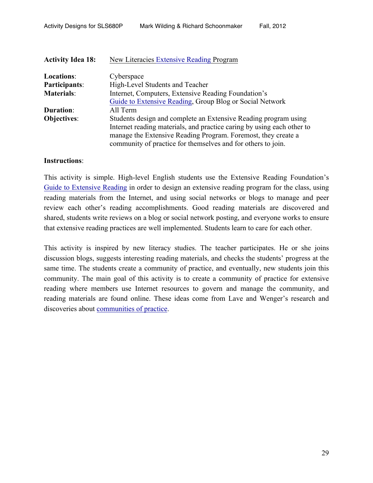| <b>Activity Idea 18:</b> | New Literacies Extensive Reading Program                               |
|--------------------------|------------------------------------------------------------------------|
| Locations:               | Cyberspace                                                             |
| <b>Participants:</b>     | High-Level Students and Teacher                                        |
| <b>Materials:</b>        | Internet, Computers, Extensive Reading Foundation's                    |
|                          | Guide to Extensive Reading, Group Blog or Social Network               |
| <b>Duration:</b>         | All Term                                                               |
| <b>Objectives:</b>       | Students design and complete an Extensive Reading program using        |
|                          | Internet reading materials, and practice caring by using each other to |
|                          | manage the Extensive Reading Program. Foremost, they create a          |
|                          | community of practice for themselves and for others to join.           |

This activity is simple. High-level English students use the Extensive Reading Foundation's Guide to Extensive Reading in order to design an extensive reading program for the class, using reading materials from the Internet, and using social networks or blogs to manage and peer review each other's reading accomplishments. Good reading materials are discovered and shared, students write reviews on a blog or social network posting, and everyone works to ensure that extensive reading practices are well implemented. Students learn to care for each other.

This activity is inspired by new literacy studies. The teacher participates. He or she joins discussion blogs, suggests interesting reading materials, and checks the students' progress at the same time. The students create a community of practice, and eventually, new students join this community. The main goal of this activity is to create a community of practice for extensive reading where members use Internet resources to govern and manage the community, and reading materials are found online. These ideas come from Lave and Wenger's research and discoveries about communities of practice.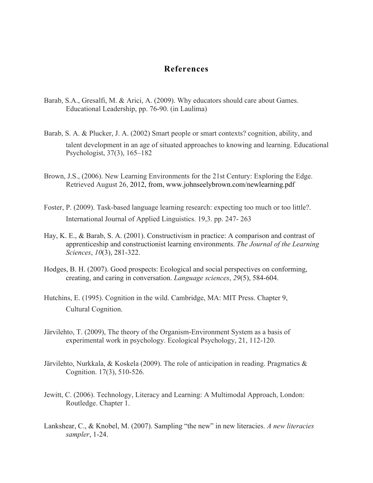## **References**

- Barab, S.A., Gresalfi, M. & Arici, A. (2009). Why educators should care about Games. Educational Leadership, pp. 76-90. (in Laulima)
- Barab, S. A. & Plucker, J. A. (2002) Smart people or smart contexts? cognition, ability, and talent development in an age of situated approaches to knowing and learning. Educational Psychologist, 37(3), 165–182
- Brown, J.S., (2006). New Learning Environments for the 21st Century: Exploring the Edge. Retrieved August 26, 2012, from, www.johnseelybrown.com/newlearning.pdf
- Foster, P. (2009). Task-based language learning research: expecting too much or too little?. International Journal of Applied Linguistics. 19,3. pp. 247- 263
- Hay, K. E., & Barab, S. A. (2001). Constructivism in practice: A comparison and contrast of apprenticeship and constructionist learning environments. *The Journal of the Learning Sciences*, *10*(3), 281-322.
- Hodges, B. H. (2007). Good prospects: Ecological and social perspectives on conforming, creating, and caring in conversation. *Language sciences*, *29*(5), 584-604.
- Hutchins, E. (1995). Cognition in the wild. Cambridge, MA: MIT Press. Chapter 9, Cultural Cognition.
- Järvilehto, T. (2009), The theory of the Organism-Environment System as a basis of experimental work in psychology. Ecological Psychology, 21, 112-120.
- Järvilehto, Nurkkala, & Koskela (2009). The role of anticipation in reading. Pragmatics & Cognition. 17(3), 510-526.
- Jewitt, C. (2006). Technology, Literacy and Learning: A Multimodal Approach, London: Routledge. Chapter 1.
- Lankshear, C., & Knobel, M. (2007). Sampling "the new" in new literacies. *A new literacies sampler*, 1-24.